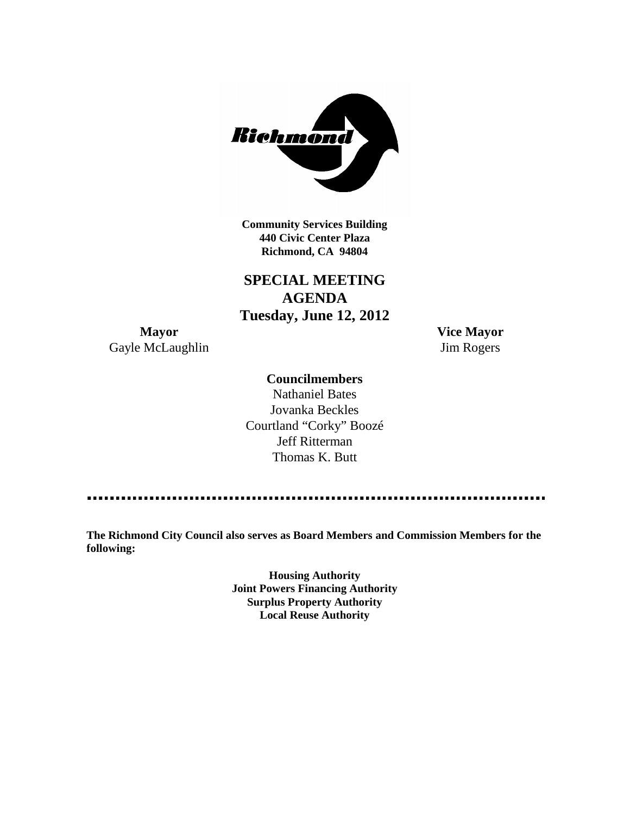

**Community Services Building 440 Civic Center Plaza Richmond, CA 94804**

**SPECIAL MEETING AGENDA Tuesday, June 12, 2012**

**Mayor Vice Mayor** Gayle McLaughlin Jim Rogers

## **Councilmembers**

Nathaniel Bates Jovanka Beckles Courtland "Corky" Boozé Jeff Ritterman Thomas K. Butt

**The Richmond City Council also serves as Board Members and Commission Members for the following:**

> **Housing Authority Joint Powers Financing Authority Surplus Property Authority Local Reuse Authority**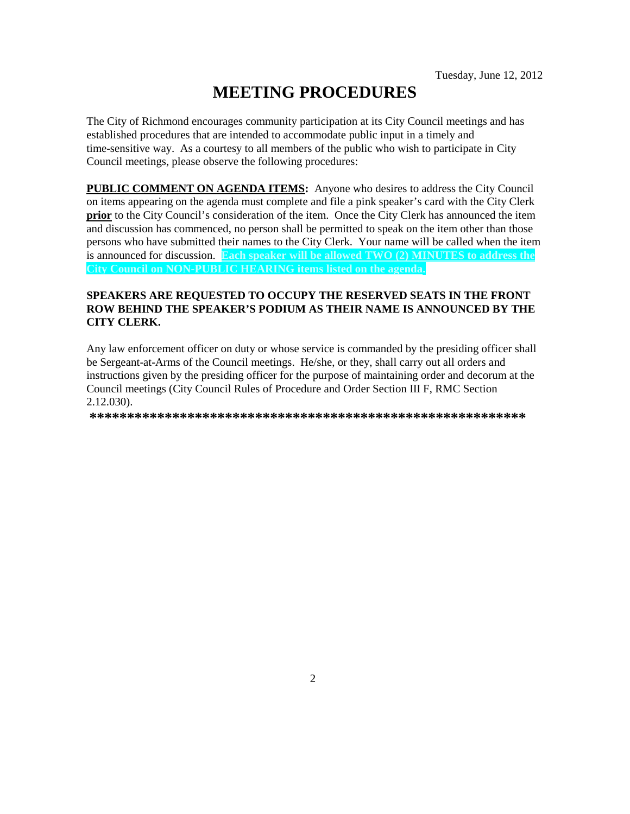# **MEETING PROCEDURES**

The City of Richmond encourages community participation at its City Council meetings and has established procedures that are intended to accommodate public input in a timely and time-sensitive way. As a courtesy to all members of the public who wish to participate in City Council meetings, please observe the following procedures:

**PUBLIC COMMENT ON AGENDA ITEMS:** Anyone who desires to address the City Council on items appearing on the agenda must complete and file a pink speaker's card with the City Clerk **prior** to the City Council's consideration of the item. Once the City Clerk has announced the item and discussion has commenced, no person shall be permitted to speak on the item other than those persons who have submitted their names to the City Clerk. Your name will be called when the item is announced for discussion. **Each speaker will be allowed TWO (2) MINUTES to address the City Council on NON-PUBLIC HEARING items listed on the agenda.**

## **SPEAKERS ARE REQUESTED TO OCCUPY THE RESERVED SEATS IN THE FRONT ROW BEHIND THE SPEAKER'S PODIUM AS THEIR NAME IS ANNOUNCED BY THE CITY CLERK.**

Any law enforcement officer on duty or whose service is commanded by the presiding officer shall be Sergeant-at-Arms of the Council meetings. He/she, or they, shall carry out all orders and instructions given by the presiding officer for the purpose of maintaining order and decorum at the Council meetings (City Council Rules of Procedure and Order Section III F, RMC Section 2.12.030).

**\*\*\*\*\*\*\*\*\*\*\*\*\*\*\*\*\*\*\*\*\*\*\*\*\*\*\*\*\*\*\*\*\*\*\*\*\*\*\*\*\*\*\*\*\*\*\*\*\*\*\*\*\*\*\*\*\*\***